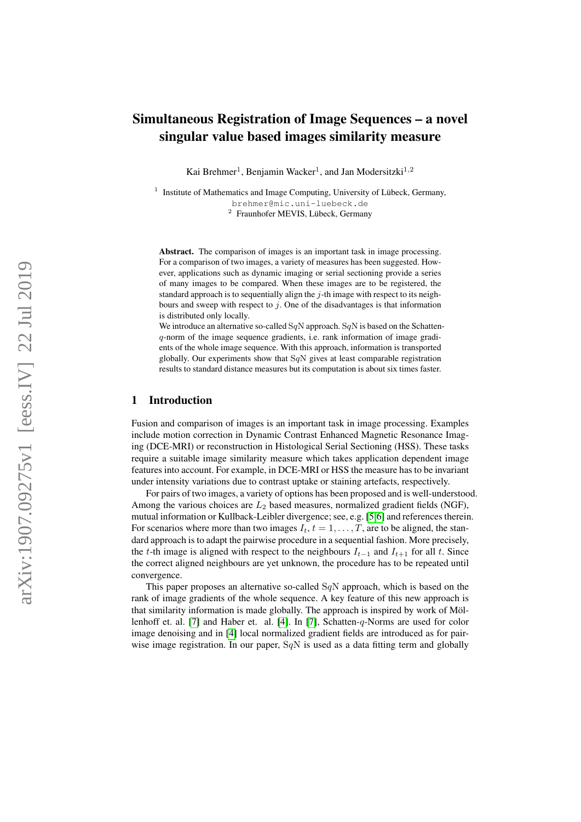# Simultaneous Registration of Image Sequences – a novel singular value based images similarity measure

Kai Brehmer<sup>1</sup>, Benjamin Wacker<sup>1</sup>, and Jan Modersitzki<sup>1,2</sup>

<sup>1</sup> Institute of Mathematics and Image Computing, University of Lübeck, Germany, brehmer@mic.uni-luebeck.de 2 Fraunhofer MEVIS, Lübeck, Germany

Abstract. The comparison of images is an important task in image processing. For a comparison of two images, a variety of measures has been suggested. However, applications such as dynamic imaging or serial sectioning provide a series of many images to be compared. When these images are to be registered, the standard approach is to sequentially align the  $j$ -th image with respect to its neighbours and sweep with respect to  $j$ . One of the disadvantages is that information is distributed only locally.

We introduce an alternative so-called SqN approach. SqN is based on the Schattenq-norm of the image sequence gradients, i.e. rank information of image gradients of the whole image sequence. With this approach, information is transported globally. Our experiments show that  $SqN$  gives at least comparable registration results to standard distance measures but its computation is about six times faster.

### 1 Introduction

Fusion and comparison of images is an important task in image processing. Examples include motion correction in Dynamic Contrast Enhanced Magnetic Resonance Imaging (DCE-MRI) or reconstruction in Histological Serial Sectioning (HSS). These tasks require a suitable image similarity measure which takes application dependent image features into account. For example, in DCE-MRI or HSS the measure has to be invariant under intensity variations due to contrast uptake or staining artefacts, respectively.

For pairs of two images, a variety of options has been proposed and is well-understood. Among the various choices are  $L_2$  based measures, normalized gradient fields (NGF), mutual information or Kullback-Leibler divergence; see, e.g. [\[5](#page-2-0)[,6\]](#page-2-1) and references therein. For scenarios where more than two images  $I_t$ ,  $t = 1, \ldots, T$ , are to be aligned, the standard approach is to adapt the pairwise procedure in a sequential fashion. More precisely, the t-th image is aligned with respect to the neighbours  $I_{t-1}$  and  $I_{t+1}$  for all t. Since the correct aligned neighbours are yet unknown, the procedure has to be repeated until convergence.

This paper proposes an alternative so-called  $SqN$  approach, which is based on the rank of image gradients of the whole sequence. A key feature of this new approach is that similarity information is made globally. The approach is inspired by work of Möllenhoff et. al. [\[7\]](#page-2-2) and Haber et. al. [\[4\]](#page-2-3). In [\[7\]](#page-2-2), Schatten-q-Norms are used for color image denoising and in [\[4\]](#page-2-3) local normalized gradient fields are introduced as for pairwise image registration. In our paper,  $SqN$  is used as a data fitting term and globally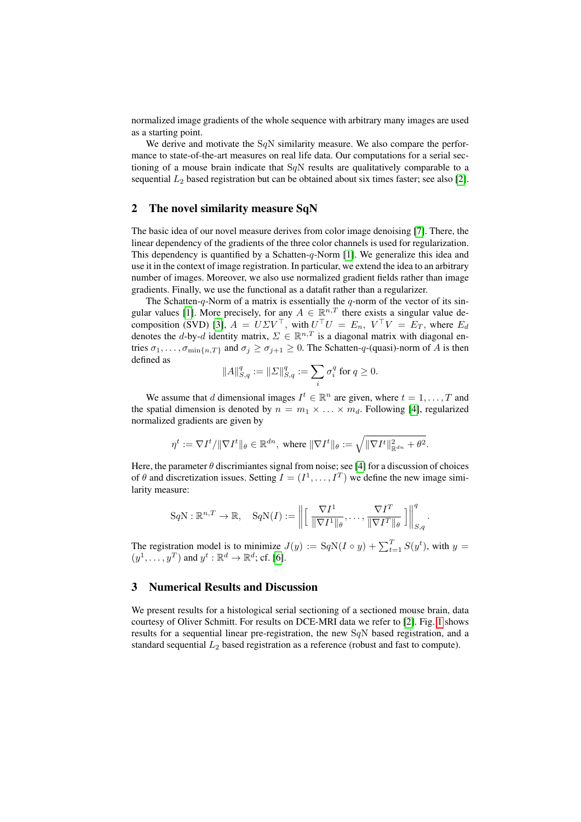normalized image gradients of the whole sequence with arbitrary many images are used as a starting point.

We derive and motivate the  $SqN$  similarity measure. We also compare the performance to state-of-the-art measures on real life data. Our computations for a serial sectioning of a mouse brain indicate that  $SqN$  results are qualitatively comparable to a sequential  $L_2$  based registration but can be obtained about six times faster; see also [\[2\]](#page-2-4).

### 2 The novel similarity measure SqN

The basic idea of our novel measure derives from color image denoising [\[7\]](#page-2-2). There, the linear dependency of the gradients of the three color channels is used for regularization. This dependency is quantified by a Schatten- $q$ -Norm [\[1\]](#page-2-5). We generalize this idea and use it in the context of image registration. In particular, we extend the idea to an arbitrary number of images. Moreover, we also use normalized gradient fields rather than image gradients. Finally, we use the functional as a datafit rather than a regularizer.

The Schatten- $q$ -Norm of a matrix is essentially the  $q$ -norm of the vector of its sin-gular values [\[1\]](#page-2-5). More precisely, for any  $A \in \mathbb{R}^{n,T}$  there exists a singular value de-composition (SVD) [\[3\]](#page-2-6),  $A = U\Sigma V^{\top}$ , with  $U^{\top}U = E_n$ ,  $V^{\top}V = E_T$ , where  $E_d$ denotes the d-by-d identity matrix,  $\Sigma \in \mathbb{R}^{n,T}$  is a diagonal matrix with diagonal entries  $\sigma_1, \ldots, \sigma_{\min\{n, T\}}$  and  $\sigma_j \geq \sigma_{j+1} \geq 0$ . The Schatten-q-(quasi)-norm of A is then defined as

$$
||A||_{S,q}^q:=||\varSigma||_{S,q}^q:=\sum_i\sigma_i^q\text{ for }q\geq 0.
$$

We assume that d dimensional images  $I^t \in \mathbb{R}^n$  are given, where  $t = 1, \ldots, T$  and the spatial dimension is denoted by  $n = m_1 \times \ldots \times m_d$ . Following [\[4\]](#page-2-3), regularized normalized gradients are given by

$$
\eta^t:=\nabla I^t/\|\nabla I^t\|_\theta\in\mathbb{R}^{dn},\text{ where }\|\nabla I^t\|_\theta:=\sqrt{\|\nabla I^t\|_{\mathbb{R}^{dn}}^2+\theta^2}.
$$

Here, the parameter  $\theta$  discrimiantes signal from noise; see [\[4\]](#page-2-3) for a discussion of choices of  $\theta$  and discretization issues. Setting  $I = (I^1, \dots, I^T)$  we define the new image similarity measure:

$$
SqN : \mathbb{R}^{n,T} \to \mathbb{R}, \quad SqN(I) := \left\| \left[ \left. \frac{\nabla I^1}{\|\nabla I^1\|_{\theta}}, \dots, \frac{\nabla I^T}{\|\nabla I^T\|_{\theta}} \right. \right] \right\|_{S,q}^q
$$

.

The registration model is to minimize  $J(y) := \text{SqN}(I \circ y) + \sum_{t=1}^{T} S(y^t)$ , with  $y =$  $(y^1, \ldots, y^T)$  and  $y^t : \mathbb{R}^d \to \mathbb{R}^d$ ; cf. [\[6\]](#page-2-1).

## 3 Numerical Results and Discussion

We present results for a histological serial sectioning of a sectioned mouse brain, data courtesy of Oliver Schmitt. For results on DCE-MRI data we refer to [\[2\]](#page-2-4). Fig. [1](#page-2-7) shows results for a sequential linear pre-registration, the new  $SqN$  based registration, and a standard sequential  $L_2$  based registration as a reference (robust and fast to compute).